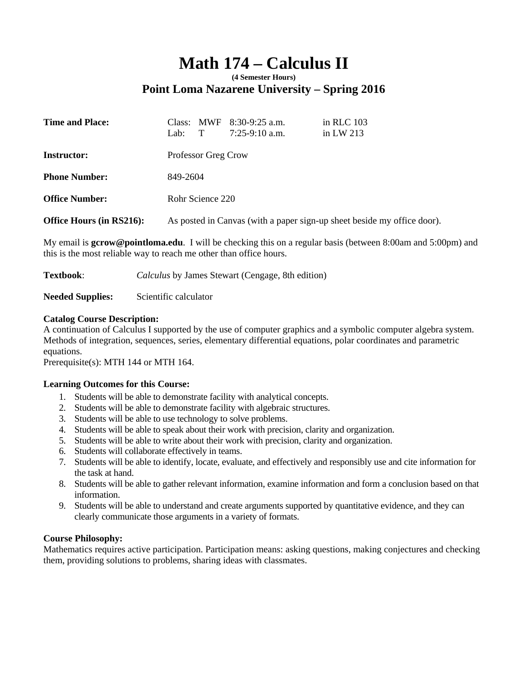# **Math 174 – Calculus II (4 Semester Hours)**

# **Point Loma Nazarene University – Spring 2016**

| <b>Time and Place:</b>   | Lab:                                                                    | Class: MWF | $8:30-9:25$ a.m.<br>$7:25-9:10$ a.m. | in RLC 103<br>in LW $213$ |  |
|--------------------------|-------------------------------------------------------------------------|------------|--------------------------------------|---------------------------|--|
| <b>Instructor:</b>       | Professor Greg Crow                                                     |            |                                      |                           |  |
| <b>Phone Number:</b>     | 849-2604                                                                |            |                                      |                           |  |
| <b>Office Number:</b>    | Rohr Science 220                                                        |            |                                      |                           |  |
| Office Hours (in RS216): | As posted in Canvas (with a paper sign-up sheet beside my office door). |            |                                      |                           |  |

My email is **gcrow@pointloma.edu**. I will be checking this on a regular basis (between 8:00am and 5:00pm) and this is the most reliable way to reach me other than office hours.

**Textbook**: *Calculus* by James Stewart (Cengage, 8th edition)

**Needed Supplies:** Scientific calculator

# **Catalog Course Description:**

A continuation of Calculus I supported by the use of computer graphics and a symbolic computer algebra system. Methods of integration, sequences, series, elementary differential equations, polar coordinates and parametric equations.

Prerequisite(s): MTH 144 or MTH 164.

#### **Learning Outcomes for this Course:**

- 1. Students will be able to demonstrate facility with analytical concepts.
- 2. Students will be able to demonstrate facility with algebraic structures.
- 3. Students will be able to use technology to solve problems.
- 4. Students will be able to speak about their work with precision, clarity and organization.
- 5. Students will be able to write about their work with precision, clarity and organization.
- 6. Students will collaborate effectively in teams.
- 7. Students will be able to identify, locate, evaluate, and effectively and responsibly use and cite information for the task at hand.
- 8. Students will be able to gather relevant information, examine information and form a conclusion based on that information.
- 9. Students will be able to understand and create arguments supported by quantitative evidence, and they can clearly communicate those arguments in a variety of formats.

#### **Course Philosophy:**

Mathematics requires active participation. Participation means: asking questions, making conjectures and checking them, providing solutions to problems, sharing ideas with classmates.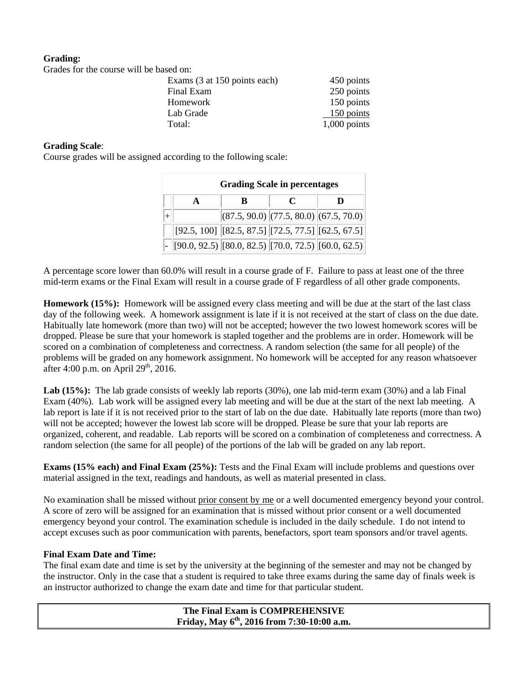## **Grading:**

Grades for the course will be based on:

| OTAQUE TOT THE COUTSE WILL BE DASCU OIL. |                              |                |
|------------------------------------------|------------------------------|----------------|
|                                          | Exams (3 at 150 points each) | 450 points     |
|                                          | Final Exam                   | 250 points     |
|                                          | Homework                     | 150 points     |
|                                          | Lab Grade                    | $150$ points   |
|                                          | Total:                       | $1,000$ points |

#### **Grading Scale**:

Course grades will be assigned according to the following scale:

| <b>Grading Scale in percentages</b> |                                                                                                                         |                                                                        |   |  |  |
|-------------------------------------|-------------------------------------------------------------------------------------------------------------------------|------------------------------------------------------------------------|---|--|--|
|                                     | R                                                                                                                       | $\mathcal C$                                                           | D |  |  |
|                                     |                                                                                                                         | $\left  (87.5, 90.0) \right  (77.5, 80.0) \left  (67.5, 70.0) \right $ |   |  |  |
|                                     | $\left[ 92.5, 100 \right] \left[ \left[ 82.5, 87.5 \right] \right] \left[ 72.5, 77.5 \right] \left[ 62.5, 67.5 \right]$ |                                                                        |   |  |  |
|                                     | $[90.0, 92.5]$ $[80.0, 82.5]$ $[70.0, 72.5]$ $[60.0, 62.5]$                                                             |                                                                        |   |  |  |

A percentage score lower than 60.0% will result in a course grade of F. Failure to pass at least one of the three mid-term exams or the Final Exam will result in a course grade of F regardless of all other grade components.

**Homework (15%):** Homework will be assigned every class meeting and will be due at the start of the last class day of the following week. A homework assignment is late if it is not received at the start of class on the due date. Habitually late homework (more than two) will not be accepted; however the two lowest homework scores will be dropped. Please be sure that your homework is stapled together and the problems are in order. Homework will be scored on a combination of completeness and correctness. A random selection (the same for all people) of the problems will be graded on any homework assignment. No homework will be accepted for any reason whatsoever after 4:00 p.m. on April  $29<sup>th</sup>$ , 2016.

**Lab (15%):** The lab grade consists of weekly lab reports (30%), one lab mid-term exam (30%) and a lab Final Exam (40%). Lab work will be assigned every lab meeting and will be due at the start of the next lab meeting. A lab report is late if it is not received prior to the start of lab on the due date. Habitually late reports (more than two) will not be accepted; however the lowest lab score will be dropped. Please be sure that your lab reports are organized, coherent, and readable. Lab reports will be scored on a combination of completeness and correctness. A random selection (the same for all people) of the portions of the lab will be graded on any lab report.

**Exams (15% each) and Final Exam (25%):** Tests and the Final Exam will include problems and questions over material assigned in the text, readings and handouts, as well as material presented in class.

No examination shall be missed without prior consent by me or a well documented emergency beyond your control. A score of zero will be assigned for an examination that is missed without prior consent or a well documented emergency beyond your control. The examination schedule is included in the daily schedule. I do not intend to accept excuses such as poor communication with parents, benefactors, sport team sponsors and/or travel agents.

#### **Final Exam Date and Time:**

The final exam date and time is set by the university at the beginning of the semester and may not be changed by the instructor. Only in the case that a student is required to take three exams during the same day of finals week is an instructor authorized to change the exam date and time for that particular student.

> **The Final Exam is COMPREHENSIVE Friday, May 6th, 2016 from 7:30-10:00 a.m.**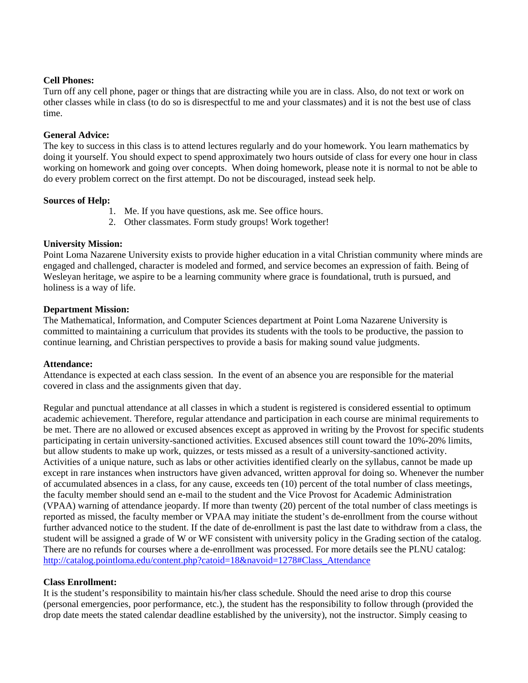#### **Cell Phones:**

Turn off any cell phone, pager or things that are distracting while you are in class. Also, do not text or work on other classes while in class (to do so is disrespectful to me and your classmates) and it is not the best use of class time.

#### **General Advice:**

The key to success in this class is to attend lectures regularly and do your homework. You learn mathematics by doing it yourself. You should expect to spend approximately two hours outside of class for every one hour in class working on homework and going over concepts. When doing homework, please note it is normal to not be able to do every problem correct on the first attempt. Do not be discouraged, instead seek help.

#### **Sources of Help:**

- 1. Me. If you have questions, ask me. See office hours.
- 2. Other classmates. Form study groups! Work together!

### **University Mission:**

Point Loma Nazarene University exists to provide higher education in a vital Christian community where minds are engaged and challenged, character is modeled and formed, and service becomes an expression of faith. Being of Wesleyan heritage, we aspire to be a learning community where grace is foundational, truth is pursued, and holiness is a way of life.

#### **Department Mission:**

The Mathematical, Information, and Computer Sciences department at Point Loma Nazarene University is committed to maintaining a curriculum that provides its students with the tools to be productive, the passion to continue learning, and Christian perspectives to provide a basis for making sound value judgments.

#### **Attendance:**

Attendance is expected at each class session. In the event of an absence you are responsible for the material covered in class and the assignments given that day.

Regular and punctual attendance at all classes in which a student is registered is considered essential to optimum academic achievement. Therefore, regular attendance and participation in each course are minimal requirements to be met. There are no allowed or excused absences except as approved in writing by the Provost for specific students participating in certain university-sanctioned activities. Excused absences still count toward the 10%-20% limits, but allow students to make up work, quizzes, or tests missed as a result of a university-sanctioned activity. Activities of a unique nature, such as labs or other activities identified clearly on the syllabus, cannot be made up except in rare instances when instructors have given advanced, written approval for doing so. Whenever the number of accumulated absences in a class, for any cause, exceeds ten (10) percent of the total number of class meetings, the faculty member should send an e-mail to the student and the Vice Provost for Academic Administration (VPAA) warning of attendance jeopardy. If more than twenty (20) percent of the total number of class meetings is reported as missed, the faculty member or VPAA may initiate the student's de-enrollment from the course without further advanced notice to the student. If the date of de-enrollment is past the last date to withdraw from a class, the student will be assigned a grade of W or WF consistent with university policy in the Grading section of the catalog. There are no refunds for courses where a de-enrollment was processed. For more details see the PLNU catalog: http://catalog.pointloma.edu/content.php?catoid=18&navoid=1278#Class\_Attendance

#### **Class Enrollment:**

It is the student's responsibility to maintain his/her class schedule. Should the need arise to drop this course (personal emergencies, poor performance, etc.), the student has the responsibility to follow through (provided the drop date meets the stated calendar deadline established by the university), not the instructor. Simply ceasing to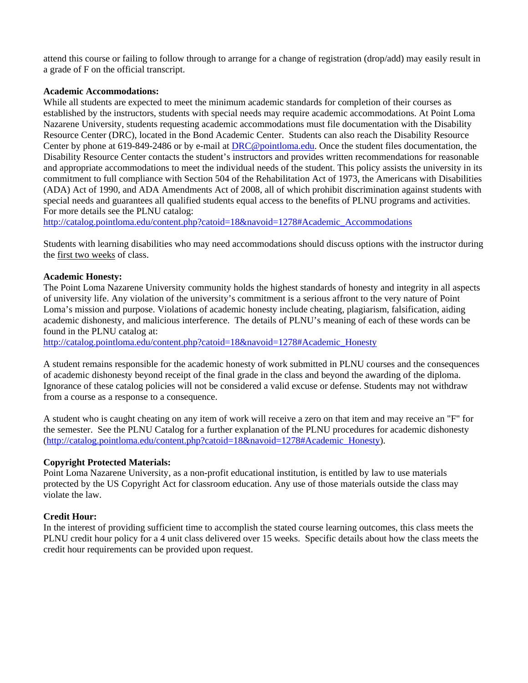attend this course or failing to follow through to arrange for a change of registration (drop/add) may easily result in a grade of F on the official transcript.

#### **Academic Accommodations:**

While all students are expected to meet the minimum academic standards for completion of their courses as established by the instructors, students with special needs may require academic accommodations. At Point Loma Nazarene University, students requesting academic accommodations must file documentation with the Disability Resource Center (DRC), located in the Bond Academic Center. Students can also reach the Disability Resource Center by phone at 619-849-2486 or by e-mail at DRC@pointloma.edu. Once the student files documentation, the Disability Resource Center contacts the student's instructors and provides written recommendations for reasonable and appropriate accommodations to meet the individual needs of the student. This policy assists the university in its commitment to full compliance with Section 504 of the Rehabilitation Act of 1973, the Americans with Disabilities (ADA) Act of 1990, and ADA Amendments Act of 2008, all of which prohibit discrimination against students with special needs and guarantees all qualified students equal access to the benefits of PLNU programs and activities. For more details see the PLNU catalog:

http://catalog.pointloma.edu/content.php?catoid=18&navoid=1278#Academic\_Accommodations

Students with learning disabilities who may need accommodations should discuss options with the instructor during the first two weeks of class.

#### **Academic Honesty:**

The Point Loma Nazarene University community holds the highest standards of honesty and integrity in all aspects of university life. Any violation of the university's commitment is a serious affront to the very nature of Point Loma's mission and purpose. Violations of academic honesty include cheating, plagiarism, falsification, aiding academic dishonesty, and malicious interference. The details of PLNU's meaning of each of these words can be found in the PLNU catalog at:

http://catalog.pointloma.edu/content.php?catoid=18&navoid=1278#Academic\_Honesty

A student remains responsible for the academic honesty of work submitted in PLNU courses and the consequences of academic dishonesty beyond receipt of the final grade in the class and beyond the awarding of the diploma. Ignorance of these catalog policies will not be considered a valid excuse or defense. Students may not withdraw from a course as a response to a consequence.

A student who is caught cheating on any item of work will receive a zero on that item and may receive an "F" for the semester. See the PLNU Catalog for a further explanation of the PLNU procedures for academic dishonesty (http://catalog.pointloma.edu/content.php?catoid=18&navoid=1278#Academic\_Honesty).

#### **Copyright Protected Materials:**

Point Loma Nazarene University, as a non-profit educational institution, is entitled by law to use materials protected by the US Copyright Act for classroom education. Any use of those materials outside the class may violate the law.

#### **Credit Hour:**

In the interest of providing sufficient time to accomplish the stated course learning outcomes, this class meets the PLNU credit hour policy for a 4 unit class delivered over 15 weeks. Specific details about how the class meets the credit hour requirements can be provided upon request.